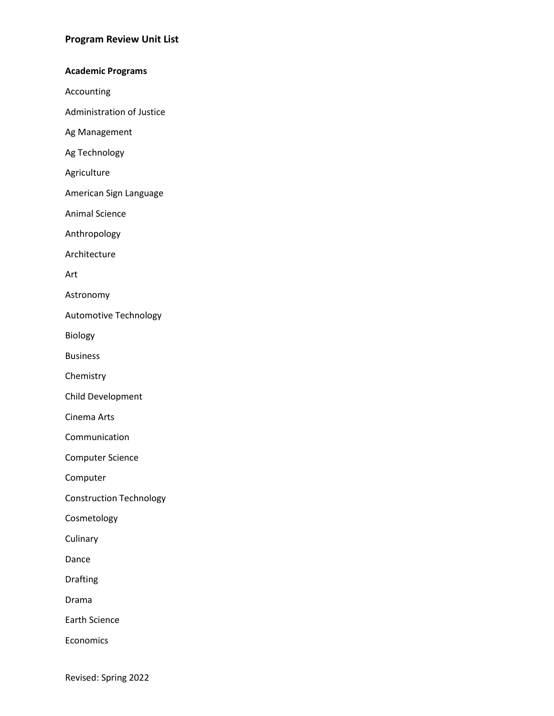### **Academic Programs**

Accounting

Administration of Justice

Ag Management

Ag Technology

Agriculture

American Sign Language

Animal Science

Anthropology

Architecture

Art

Astronomy

Automotive Technology

Biology

Business

Chemistry

Child Development

Cinema Arts

Communication

Computer Science

Computer

Construction Technology

Cosmetology

**Culinary** 

Dance

Drafting

Drama

Earth Science

Economics

Revised: Spring 2022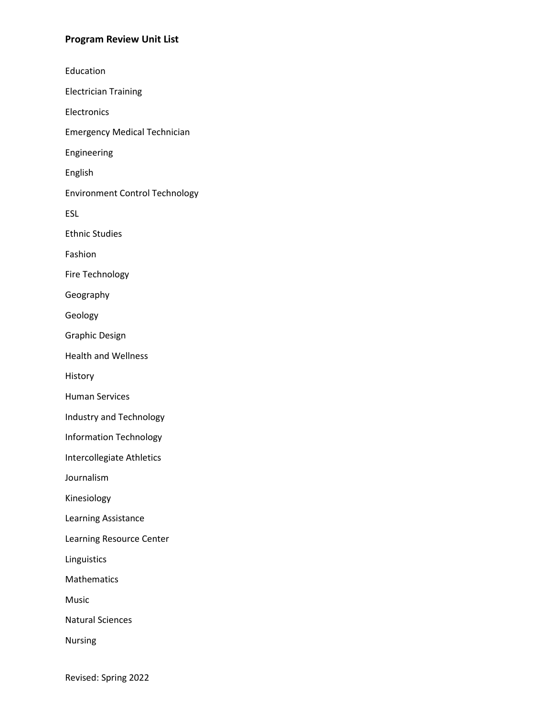Education Electrician Training Electronics Emergency Medical Technician Engineering English Environment Control Technology ESL Ethnic Studies Fashion Fire Technology Geography Geology Graphic Design Health and Wellness History Human Services Industry and Technology Information Technology Intercollegiate Athletics Journalism Kinesiology Learning Assistance Learning Resource Center Linguistics Mathematics Music Natural Sciences Nursing

Revised: Spring 2022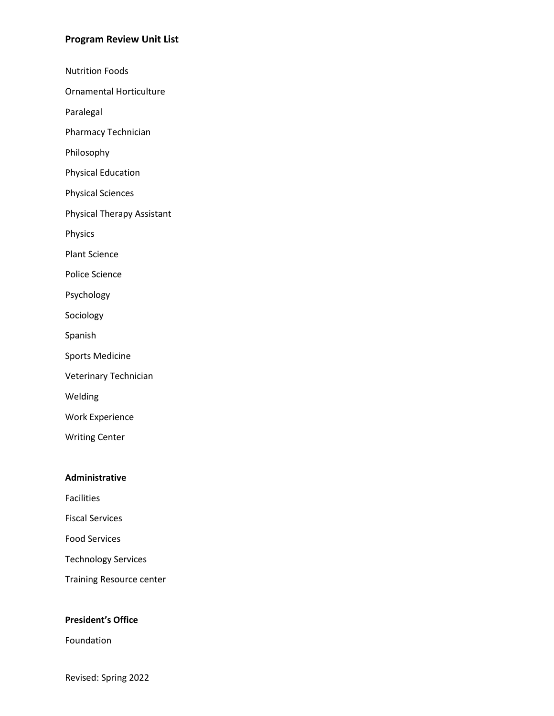Nutrition Foods

Ornamental Horticulture

Paralegal

Pharmacy Technician

Philosophy

Physical Education

Physical Sciences

Physical Therapy Assistant

Physics

Plant Science

Police Science

Psychology

Sociology

Spanish

Sports Medicine

Veterinary Technician

Welding

Work Experience

Writing Center

#### **Administrative**

Facilities

Fiscal Services

Food Services

Technology Services

Training Resource center

### **President's Office**

Foundation

Revised: Spring 2022